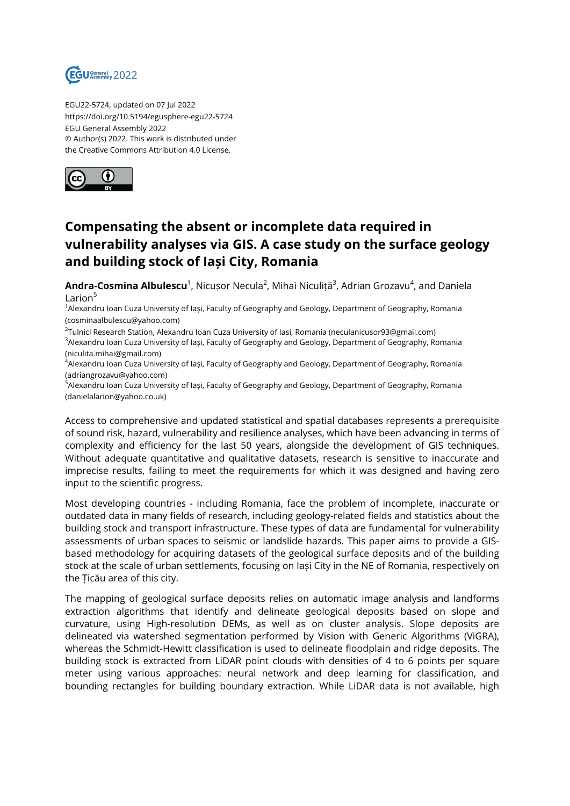

EGU22-5724, updated on 07 Jul 2022 https://doi.org/10.5194/egusphere-egu22-5724 EGU General Assembly 2022 © Author(s) 2022. This work is distributed under the Creative Commons Attribution 4.0 License.



## **Compensating the absent or incomplete data required in vulnerability analyses via GIS. A case study on the surface geology and building stock of Iași City, Romania**

**Andra-Cosmina Albulescu**<sup>1</sup>, Nicușor Necula<sup>2</sup>, Mihai Niculiță<sup>3</sup>, Adrian Grozavu<sup>4</sup>, and Daniela Larion<sup>5</sup>

<sup>1</sup> Alexandru Ioan Cuza University of Iași, Faculty of Geography and Geology, Department of Geography, Romania (cosminaalbulescu@yahoo.com)

 $^2$ Tulnici Research Station, Alexandru Ioan Cuza University of Iasi, Romania (neculanicusor93@gmail.com) <sup>3</sup>Alexandru Ioan Cuza University of Iași, Faculty of Geography and Geology, Department of Geography, Romania (niculita.mihai@gmail.com)

<sup>4</sup>Alexandru Ioan Cuza University of Iași, Faculty of Geography and Geology, Department of Geography, Romania (adriangrozavu@yahoo.com)

<sup>5</sup>Alexandru Ioan Cuza University of Iași, Faculty of Geography and Geology, Department of Geography, Romania (danielalarion@yahoo.co.uk)

Access to comprehensive and updated statistical and spatial databases represents a prerequisite of sound risk, hazard, vulnerability and resilience analyses, which have been advancing in terms of complexity and efficiency for the last 50 years, alongside the development of GIS techniques. Without adequate quantitative and qualitative datasets, research is sensitive to inaccurate and imprecise results, failing to meet the requirements for which it was designed and having zero input to the scientific progress.

Most developing countries - including Romania, face the problem of incomplete, inaccurate or outdated data in many fields of research, including geology-related fields and statistics about the building stock and transport infrastructure. These types of data are fundamental for vulnerability assessments of urban spaces to seismic or landslide hazards. This paper aims to provide a GISbased methodology for acquiring datasets of the geological surface deposits and of the building stock at the scale of urban settlements, focusing on Iași City in the NE of Romania, respectively on the Țicău area of this city.

The mapping of geological surface deposits relies on automatic image analysis and landforms extraction algorithms that identify and delineate geological deposits based on slope and curvature, using High-resolution DEMs, as well as on cluster analysis. Slope deposits are delineated via watershed segmentation performed by Vision with Generic Algorithms (ViGRA), whereas the Schmidt-Hewitt classification is used to delineate floodplain and ridge deposits. The building stock is extracted from LiDAR point clouds with densities of 4 to 6 points per square meter using various approaches: neural network and deep learning for classification, and bounding rectangles for building boundary extraction. While LiDAR data is not available, high